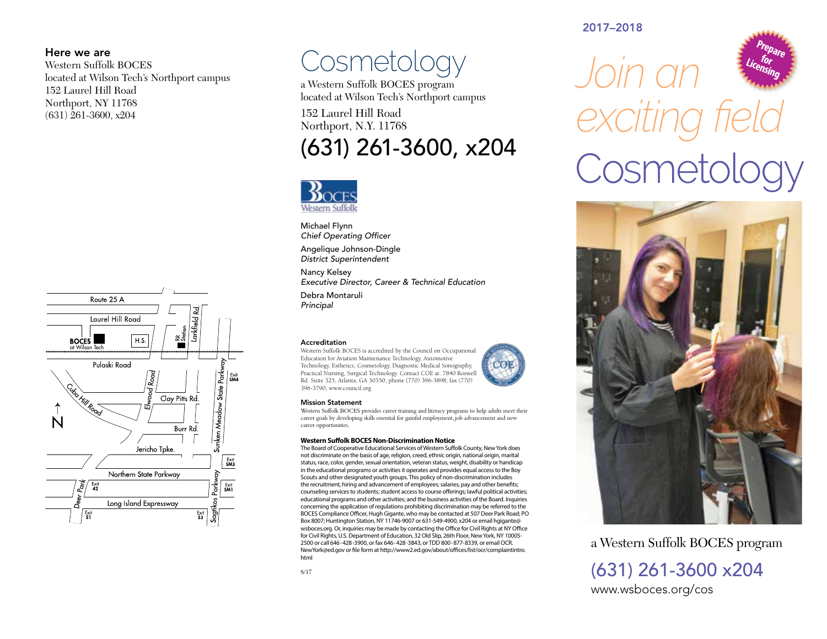#### Here we are

Western Suffolk BOCES located at Wilson Tech's Northport campus 152 Laurel Hill Road Northport, NY 11768 (631) 261-3600, x204



## **Cosmetology**

a Western Suffolk BOCES program located at Wilson Tech's Northport campus

152 Laurel Hill Road Northport, N.Y. 11768

### (631) 261-3600, x204



Michael Flynn *Chief Operating Officer*

Angelique Johnson-Dingle *District Superintendent*

Nancy Kelsey *Executive Director, Career & Technical Education*

Debra Montaruli *Principal*

#### Accreditation

Western Suffolk BOCES is accredited by the Council on Occupational Education for Aviation Maintenance Technology, Automotive Technology, Esthetics, Cosmetology, Diagnostic Medical Sonography, Practical Nursing, Surgical Technology. Contact COE at: 7840 Roswell Rd. Suite 325, Atlanta, GA 30350; phone (770) 396-3898; fax (770) 396-3790; www.council.org



#### Mission Statement

Western Suffolk BOCES provides career training and literacy programs to help adults meet their career goals by developing skills essential for gainful employment, job advancement and new career opportunities.

 $0.615$ 

#### **Western Suffolk BOCES Non-Discrimination Notice**

The Board of Cooperative Educational Services of Western Suffolk County, New York does not discriminate on the basis of age, religion, creed, ethnic origin, national origin, marital status, race, color, gender, sexual orientation, veteran status, weight, disability or handicap in the educational programs or activities it operates and provides equal access to the Boy Scouts and other designated youth groups. This policy of non-discrimination includes the recruitment, hiring and advancement of employees; salaries, pay and other benefits; counseling services to students; student access to course offerings; lawful political activities; educational programs and other activities; and the business activities of the Board. Inquiries concerning the application of regulations prohibiting discrimination may be referred to the BOCES Compliance Officer, Hugh Gigante, who may be contacted at 507 Deer Park Road; PO Box 8007; Huntington Station, NY 11746-9007 or 631-549-4900, x204 or email hgigante@ wsboces.org. Or, inquiries may be made by contacting the Office for Civil Rights at NY Office for Civil Rights, U.S. Department of Education, 32 Old Slip, 26th Floor, New York, NY 10005- 2500 or call 646-428-3900, or fax 646-428-3843, or TDD 800-877-8339, or email OCR. NewYork@ed.gov or file form at http://www2.ed.gov/about/offices/list/ocr/complaintintro. html

#### 2017–2018



# *Join an exciting field* Cosmetology



a Western Suffolk BOCES program (631) 261-3600 x204

www.wsboces.org/cos